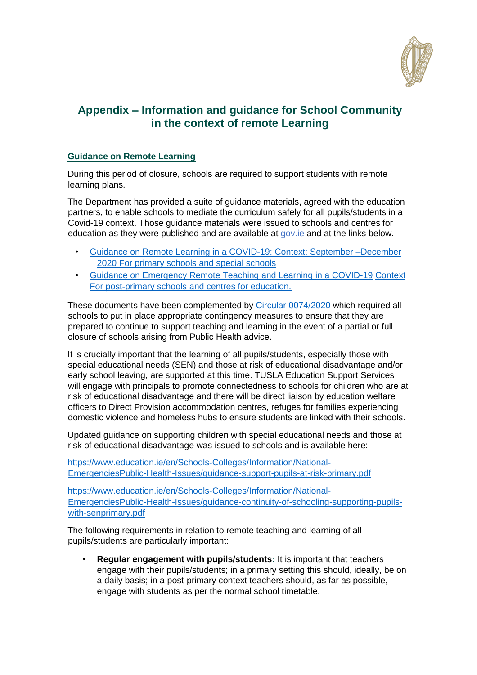

# **Appendix – Information and guidance for School Community in the context of remote Learning**

## **Guidance on Remote Learning**

During this period of closure, schools are required to support students with remote learning plans.

The Department has provided a suite of guidance materials, agreed with the education partners, to enable schools to mediate the curriculum safely for all pupils/students in a Covid-19 context. Those guidance materials were issued to schools and centres for education as they were published and are available at [gov.ie](http://www.gov.ie/backtoschool) and at the links below.

- [Guidance on Remote Learning in a COVID-19: Context: September –December](https://www.gov.ie/en/publication/a0bff-reopening-our-primary-and-special-schools/#additional-guidelines-and-procedures) [2020 For primary schools and special schools](https://www.gov.ie/en/publication/a0bff-reopening-our-primary-and-special-schools/#additional-guidelines-and-procedures)
- [Guidance on Emergency Remote Teaching and Learning in a COVID-19](https://www.gov.ie/en/publication/7acad-reopening-our-post-primary-schools/#additional-guidelines-and-procedures) [Context](https://www.gov.ie/en/publication/7acad-reopening-our-post-primary-schools/#additional-guidelines-and-procedures)  [For post-primary schools and centres for education.](https://www.gov.ie/en/publication/7acad-reopening-our-post-primary-schools/#additional-guidelines-and-procedures)

These documents have been complemented by [Circular 0074/2020](https://www.education.ie/en/Circulars-and-Forms/Active-Circulars/cl0074_2020.pdf) which required all schools to put in place appropriate contingency measures to ensure that they are prepared to continue to support teaching and learning in the event of a partial or full closure of schools arising from Public Health advice.

It is crucially important that the learning of all pupils/students, especially those with special educational needs (SEN) and those at risk of educational disadvantage and/or early school leaving, are supported at this time. TUSLA Education Support Services will engage with principals to promote connectedness to schools for children who are at risk of educational disadvantage and there will be direct liaison by education welfare officers to Direct Provision accommodation centres, refuges for families experiencing domestic violence and homeless hubs to ensure students are linked with their schools.

Updated guidance on supporting children with special educational needs and those at risk of educational disadvantage was issued to schools and is available here:

[https://www.education.ie/en/Schools-Colleges/Information/National-](https://www.education.ie/en/Schools-Colleges/Information/National-Emergencies-Public-Health-Issues/guidance-support-pupils-at-risk-primary.pdf)[EmergenciesPublic-Health-Issues/guidance-support-pupils-at-risk-primary.pdf](https://www.education.ie/en/Schools-Colleges/Information/National-Emergencies-Public-Health-Issues/guidance-support-pupils-at-risk-primary.pdf)

[https://www.education.ie/en/Schools-Colleges/Information/National-](https://www.education.ie/en/Schools-Colleges/Information/National-Emergencies-Public-Health-Issues/guidance-continuity-of-schooling-supporting-pupils-with-sen-primary.pdf)[EmergenciesPublic-Health-Issues/guidance-continuity-of-schooling-supporting-pupils](https://www.education.ie/en/Schools-Colleges/Information/National-Emergencies-Public-Health-Issues/guidance-continuity-of-schooling-supporting-pupils-with-sen-primary.pdf)[with-senprimary.pdf](https://www.education.ie/en/Schools-Colleges/Information/National-Emergencies-Public-Health-Issues/guidance-continuity-of-schooling-supporting-pupils-with-sen-primary.pdf)

The following requirements in relation to remote teaching and learning of all pupils/students are particularly important:

• **Regular engagement with pupils/students:** It is important that teachers engage with their pupils/students; in a primary setting this should, ideally, be on a daily basis; in a post-primary context teachers should, as far as possible, engage with students as per the normal school timetable.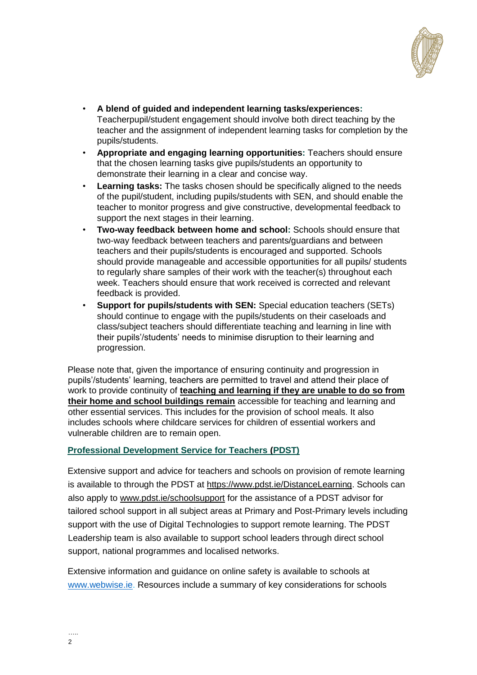

- **A blend of guided and independent learning tasks/experiences:**  Teacherpupil/student engagement should involve both direct teaching by the teacher and the assignment of independent learning tasks for completion by the pupils/students.
- **Appropriate and engaging learning opportunities:** Teachers should ensure that the chosen learning tasks give pupils/students an opportunity to demonstrate their learning in a clear and concise way.
- **Learning tasks:** The tasks chosen should be specifically aligned to the needs of the pupil/student, including pupils/students with SEN, and should enable the teacher to monitor progress and give constructive, developmental feedback to support the next stages in their learning.
- **Two-way feedback between home and school:** Schools should ensure that two-way feedback between teachers and parents/guardians and between teachers and their pupils/students is encouraged and supported. Schools should provide manageable and accessible opportunities for all pupils/ students to regularly share samples of their work with the teacher(s) throughout each week. Teachers should ensure that work received is corrected and relevant feedback is provided.
- **Support for pupils/students with SEN:** Special education teachers (SETs) should continue to engage with the pupils/students on their caseloads and class/subject teachers should differentiate teaching and learning in line with their pupils'/students' needs to minimise disruption to their learning and progression.

Please note that, given the importance of ensuring continuity and progression in pupils'/students' learning, teachers are permitted to travel and attend their place of work to provide continuity of **teaching and learning if they are unable to do so from their home and school buildings remain** accessible for teaching and learning and other essential services. This includes for the provision of school meals. It also includes schools where childcare services for children of essential workers and vulnerable children are to remain open.

## **Professional Development Service for Teachers (PDST)**

Extensive support and advice for teachers and schools on provision of remote learning is available to through the PDST at [https://www.pdst.ie/DistanceLearning.](https://www.pdst.ie/DistanceLearning) Schools can also apply to [www.pdst.ie/schoolsupport](http://www.pdst.ie/schoolsupport) for the assistance of a PDST advisor for tailored school support in all subject areas at Primary and Post-Primary levels including support with the use of Digital Technologies to support remote learning. The PDST Leadership team is also available to support school leaders through direct school support, national programmes and localised networks.

Extensive information and guidance on online safety is available to schools at [www.webwise.ie.](http://www.webwise.ie/) Resources include a summary of key considerations for schools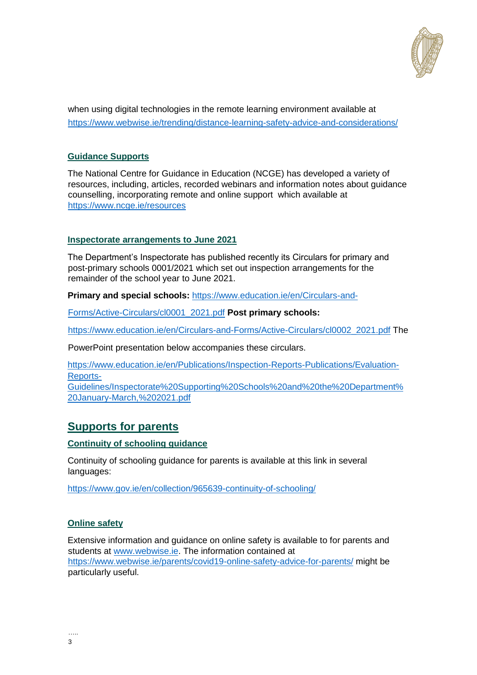

when using digital technologies in the remote learning environment available at <https://www.webwise.ie/trending/distance-learning-safety-advice-and-considerations/>

### **Guidance Supports**

The National Centre for Guidance in Education (NCGE) has developed a variety of resources, including, articles, recorded webinars and information notes about guidance counselling, incorporating remote and online support which available at https://www.ncge.ie/reso[urces](https://www.ncge.ie/resources)

#### **Inspectorate arrangements to June 2021**

The Department's Inspectorate has published recently its Circulars for primary and post-primary schools 0001/2021 which set out inspection arrangements for the remainder of the school year to June 2021.

**Primary and special schools:** [https://www.education.ie/en/Circulars-and-](https://www.education.ie/en/Circulars-and-Forms/Active-Circulars/cl0001_2021.pdf)

[Forms/Active-Circulars/cl0001\\_2021.pdf](https://www.education.ie/en/Circulars-and-Forms/Active-Circulars/cl0001_2021.pdf) **Post primary schools:** 

[https://www.education.ie/en/Circulars-and-Forms/Active-Circulars/cl0002\\_2021.pdf](https://www.education.ie/en/Circulars-and-Forms/Active-Circulars/cl0002_2021.pdf) The

PowerPoint presentation below accompanies these circulars.

[https://www.education.ie/en/Publications/Inspection-Reports-Publications/Evaluation-](https://www.education.ie/en/Publications/Inspection-Reports-Publications/Evaluation-Reports-Guidelines/Inspectorate%20Supporting%20Schools%20and%20the%20Department%20January-March,%202021.pdf)[Reports-](https://www.education.ie/en/Publications/Inspection-Reports-Publications/Evaluation-Reports-Guidelines/Inspectorate%20Supporting%20Schools%20and%20the%20Department%20January-March,%202021.pdf)

[Guidelines/Inspectorate%20Supporting%20Schools%20and%20the%20Department%](https://www.education.ie/en/Publications/Inspection-Reports-Publications/Evaluation-Reports-Guidelines/Inspectorate%20Supporting%20Schools%20and%20the%20Department%20January-March,%202021.pdf) [20January-March,%202021.pdf](https://www.education.ie/en/Publications/Inspection-Reports-Publications/Evaluation-Reports-Guidelines/Inspectorate%20Supporting%20Schools%20and%20the%20Department%20January-March,%202021.pdf)

## **Supports for parents**

#### **Continuity of schooling guidance**

Continuity of schooling guidance for parents is available at this link in several languages:

<https://www.gov.ie/en/collection/965639-continuity-of-schooling/>

## **Online safety**

Extensive information and guidance on online safety is available to for parents and students at [www.webwise.ie.](http://www.webwise.ie/) The information contained at <https://www.webwise.ie/parents/covid19-online-safety-advice-for-parents/> might be particularly useful.